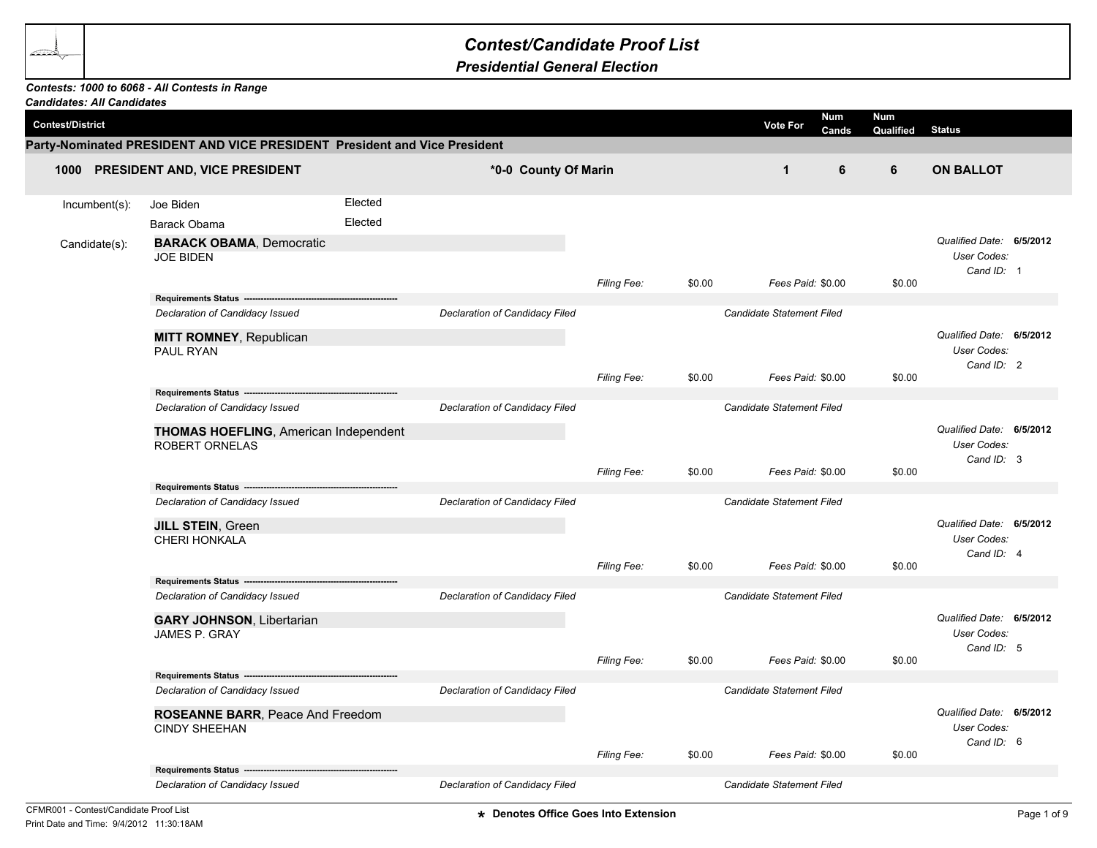## *Contest/Candidate Proof List*

*Presidential General Election*

## *Contests: 1000 to 6068 - All Contests in Range*

| <b>Candidates: All Candidates</b> |                                                                           |         |                                |                    |        |                                  |                         |                                                       |  |
|-----------------------------------|---------------------------------------------------------------------------|---------|--------------------------------|--------------------|--------|----------------------------------|-------------------------|-------------------------------------------------------|--|
| <b>Contest/District</b>           |                                                                           |         |                                |                    |        | <b>Num</b><br>Vote For<br>Cands  | <b>Num</b><br>Qualified | <b>Status</b>                                         |  |
|                                   | Party-Nominated PRESIDENT AND VICE PRESIDENT President and Vice President |         |                                |                    |        |                                  |                         |                                                       |  |
|                                   | 1000 PRESIDENT AND, VICE PRESIDENT                                        |         | *0-0 County Of Marin           |                    |        | $\mathbf{1}$<br>6                | 6                       | <b>ON BALLOT</b>                                      |  |
| Incumbent(s):                     | Joe Biden                                                                 | Elected |                                |                    |        |                                  |                         |                                                       |  |
|                                   | Barack Obama                                                              | Elected |                                |                    |        |                                  |                         |                                                       |  |
| Candidate(s):                     | <b>BARACK OBAMA, Democratic</b><br><b>JOE BIDEN</b>                       |         |                                |                    |        |                                  |                         | Qualified Date: 6/5/2012<br>User Codes:<br>Cand ID: 1 |  |
|                                   |                                                                           |         |                                | <b>Filing Fee:</b> | \$0.00 | Fees Paid: \$0.00                | \$0.00                  |                                                       |  |
|                                   | Requirements Status ----------<br>Declaration of Candidacy Issued         |         | Declaration of Candidacy Filed |                    |        | Candidate Statement Filed        |                         |                                                       |  |
|                                   | MITT ROMNEY, Republican<br>PAUL RYAN                                      |         |                                |                    |        |                                  |                         | Qualified Date: 6/5/2012<br>User Codes:<br>Cand ID: 2 |  |
|                                   |                                                                           |         |                                | Filing Fee:        | \$0.00 | Fees Paid: \$0.00                | \$0.00                  |                                                       |  |
|                                   | Requirements Status ------                                                |         |                                |                    |        |                                  |                         |                                                       |  |
|                                   | Declaration of Candidacy Issued                                           |         | Declaration of Candidacy Filed |                    |        | <b>Candidate Statement Filed</b> |                         |                                                       |  |
|                                   | THOMAS HOEFLING, American Independent<br><b>ROBERT ORNELAS</b>            |         |                                |                    |        |                                  |                         | Qualified Date: 6/5/2012<br>User Codes:<br>Cand ID: 3 |  |
|                                   |                                                                           |         |                                | <b>Filing Fee:</b> | \$0.00 | Fees Paid: \$0.00                | \$0.00                  |                                                       |  |
|                                   | Requirements Status --<br>Declaration of Candidacy Issued                 |         | Declaration of Candidacy Filed |                    |        | Candidate Statement Filed        |                         |                                                       |  |
|                                   | JILL STEIN, Green                                                         |         |                                |                    |        |                                  |                         | Qualified Date: 6/5/2012                              |  |
|                                   | <b>CHERI HONKALA</b>                                                      |         |                                | Filing Fee:        | \$0.00 | Fees Paid: \$0.00                | \$0.00                  | User Codes:<br>Cand ID: 4                             |  |
|                                   | <b>Requirements Status --</b>                                             |         |                                |                    |        |                                  |                         |                                                       |  |
|                                   | Declaration of Candidacy Issued                                           |         | Declaration of Candidacy Filed |                    |        | Candidate Statement Filed        |                         |                                                       |  |
|                                   | <b>GARY JOHNSON, Libertarian</b><br>JAMES P. GRAY                         |         |                                |                    |        |                                  |                         | Qualified Date: 6/5/2012<br>User Codes:<br>Cand ID: 5 |  |
|                                   | Requirements Status ---                                                   |         |                                | Filing Fee:        | \$0.00 | Fees Paid: \$0.00                | \$0.00                  |                                                       |  |
|                                   | Declaration of Candidacy Issued                                           |         | Declaration of Candidacy Filed |                    |        | Candidate Statement Filed        |                         |                                                       |  |
|                                   | ROSEANNE BARR, Peace And Freedom<br><b>CINDY SHEEHAN</b>                  |         |                                |                    |        |                                  |                         | Qualified Date: 6/5/2012<br>User Codes:<br>Cand ID: 6 |  |
|                                   |                                                                           |         |                                | Filing Fee:        | \$0.00 | Fees Paid: \$0.00                | \$0.00                  |                                                       |  |
|                                   | Requirements Status --<br>Declaration of Candidacy Issued                 |         | Declaration of Candidacy Filed |                    |        | Candidate Statement Filed        |                         |                                                       |  |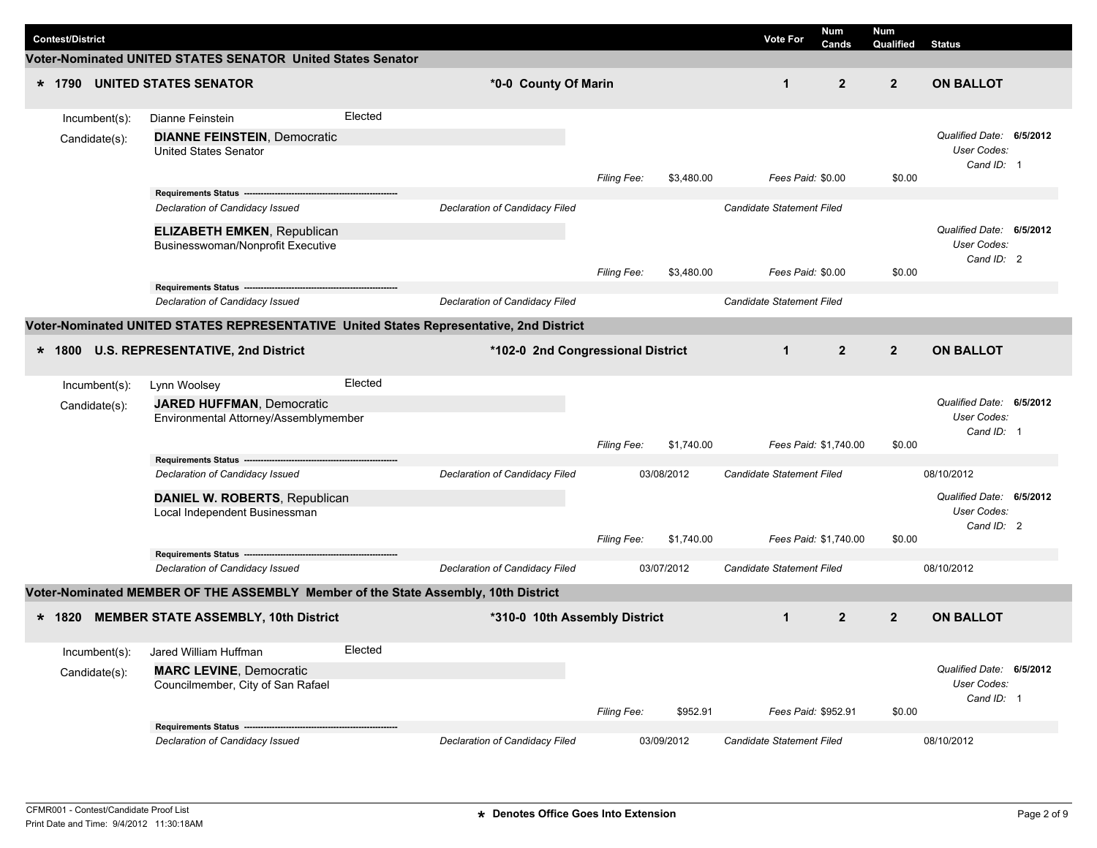|  | <b>Contest/District</b> |                                                                                    |         |                                                                                         |                    |            | <b>Vote For</b>           | Num<br>Cands   | Num<br>Qualified | <b>Status</b>                                         |  |
|--|-------------------------|------------------------------------------------------------------------------------|---------|-----------------------------------------------------------------------------------------|--------------------|------------|---------------------------|----------------|------------------|-------------------------------------------------------|--|
|  |                         | Voter-Nominated UNITED STATES SENATOR United States Senator                        |         |                                                                                         |                    |            |                           |                |                  |                                                       |  |
|  |                         | * 1790 UNITED STATES SENATOR                                                       |         | *0-0 County Of Marin                                                                    |                    |            | $\mathbf 1$               | $\overline{2}$ | $\overline{2}$   | <b>ON BALLOT</b>                                      |  |
|  | Incumbent(s):           | Dianne Feinstein                                                                   | Elected |                                                                                         |                    |            |                           |                |                  |                                                       |  |
|  | Candidate(s):           | <b>DIANNE FEINSTEIN, Democratic</b><br><b>United States Senator</b>                |         |                                                                                         |                    |            |                           |                |                  | Qualified Date: 6/5/2012<br>User Codes:<br>Cand ID: 1 |  |
|  |                         |                                                                                    |         |                                                                                         | Filing Fee:        | \$3,480.00 | Fees Paid: \$0.00         |                | \$0.00           |                                                       |  |
|  |                         | Declaration of Candidacy Issued                                                    |         | Declaration of Candidacy Filed                                                          |                    |            | Candidate Statement Filed |                |                  |                                                       |  |
|  |                         | <b>ELIZABETH EMKEN, Republican</b><br>Businesswoman/Nonprofit Executive            |         |                                                                                         |                    |            |                           |                | \$0.00           | Qualified Date: 6/5/2012<br>User Codes:<br>Cand ID: 2 |  |
|  |                         | Requirements Status ------                                                         |         |                                                                                         | <b>Filing Fee:</b> | \$3,480.00 | Fees Paid: \$0.00         |                |                  |                                                       |  |
|  |                         | Declaration of Candidacy Issued                                                    |         | <b>Declaration of Candidacy Filed</b>                                                   |                    |            | Candidate Statement Filed |                |                  |                                                       |  |
|  |                         |                                                                                    |         | Voter-Nominated UNITED STATES REPRESENTATIVE United States Representative, 2nd District |                    |            |                           |                |                  |                                                       |  |
|  |                         | * 1800 U.S. REPRESENTATIVE, 2nd District                                           |         | *102-0 2nd Congressional District                                                       |                    |            | $\mathbf{1}$              | $\overline{2}$ | $\overline{2}$   | <b>ON BALLOT</b>                                      |  |
|  | $Incumbent(s)$ :        | Lynn Woolsey                                                                       | Elected |                                                                                         |                    |            |                           |                |                  |                                                       |  |
|  | Candidate(s):           | <b>JARED HUFFMAN, Democratic</b><br>Environmental Attorney/Assemblymember          |         |                                                                                         | Filing Fee:        | \$1,740.00 | Fees Paid: \$1,740.00     |                | \$0.00           | Qualified Date: 6/5/2012<br>User Codes:<br>Cand ID: 1 |  |
|  |                         | Requirements Status -------------------------------                                |         |                                                                                         |                    |            |                           |                |                  |                                                       |  |
|  |                         | Declaration of Candidacy Issued                                                    |         | Declaration of Candidacy Filed                                                          |                    | 03/08/2012 | Candidate Statement Filed |                |                  | 08/10/2012<br>Qualified Date: 6/5/2012                |  |
|  |                         | DANIEL W. ROBERTS, Republican<br>Local Independent Businessman                     |         |                                                                                         |                    |            |                           |                |                  | User Codes:<br>Cand ID: 2                             |  |
|  |                         | Requirements Status -----------------------------------                            |         |                                                                                         | <b>Filing Fee:</b> | \$1,740.00 | Fees Paid: \$1,740.00     |                | \$0.00           |                                                       |  |
|  |                         | Declaration of Candidacy Issued                                                    |         | Declaration of Candidacy Filed                                                          |                    | 03/07/2012 | Candidate Statement Filed |                |                  | 08/10/2012                                            |  |
|  |                         | Voter-Nominated MEMBER OF THE ASSEMBLY Member of the State Assembly, 10th District |         |                                                                                         |                    |            |                           |                |                  |                                                       |  |
|  |                         | * 1820 MEMBER STATE ASSEMBLY, 10th District                                        |         | *310-0 10th Assembly District                                                           |                    |            | $\mathbf{1}$              | $\overline{2}$ | $\overline{2}$   | <b>ON BALLOT</b>                                      |  |
|  | Incumbent(s):           | Jared William Huffman                                                              | Elected |                                                                                         |                    |            |                           |                |                  |                                                       |  |
|  | Candidate(s):           | <b>MARC LEVINE, Democratic</b><br>Councilmember, City of San Rafael                |         |                                                                                         | Filing Fee:        | \$952.91   | Fees Paid: \$952.91       |                | \$0.00           | Qualified Date: 6/5/2012<br>User Codes:<br>Cand ID: 1 |  |
|  |                         | Requirements Status --                                                             |         |                                                                                         |                    |            |                           |                |                  |                                                       |  |
|  |                         | Declaration of Candidacy Issued                                                    |         | Declaration of Candidacy Filed                                                          |                    | 03/09/2012 | Candidate Statement Filed |                |                  | 08/10/2012                                            |  |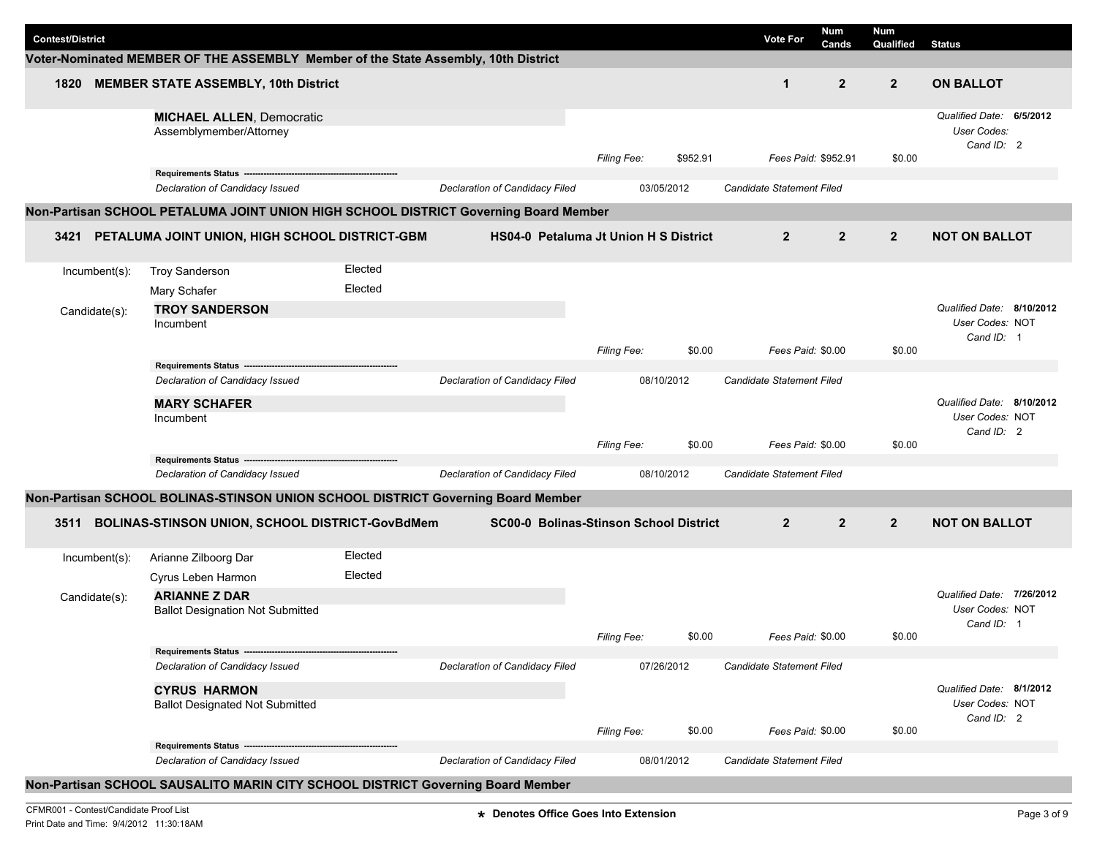|                         |                                                                                        |         |                                        |                    |            |                           | <b>Num</b>          | <b>Num</b>     |                                                            |  |
|-------------------------|----------------------------------------------------------------------------------------|---------|----------------------------------------|--------------------|------------|---------------------------|---------------------|----------------|------------------------------------------------------------|--|
| <b>Contest/District</b> |                                                                                        |         |                                        |                    |            | <b>Vote For</b>           | Cands               | Qualified      | <b>Status</b>                                              |  |
|                         | Voter-Nominated MEMBER OF THE ASSEMBLY Member of the State Assembly, 10th District     |         |                                        |                    |            |                           |                     |                |                                                            |  |
| 1820                    | <b>MEMBER STATE ASSEMBLY, 10th District</b>                                            |         |                                        |                    |            | $\mathbf{1}$              | $\overline{2}$      | $\overline{2}$ | <b>ON BALLOT</b>                                           |  |
|                         | <b>MICHAEL ALLEN, Democratic</b><br>Assemblymember/Attorney                            |         |                                        | <b>Filing Fee:</b> | \$952.91   |                           | Fees Paid: \$952.91 | \$0.00         | Qualified Date: 6/5/2012<br>User Codes:<br>Cand ID: 2      |  |
|                         | Requirements Status ---                                                                |         |                                        |                    |            |                           |                     |                |                                                            |  |
|                         | Declaration of Candidacy Issued                                                        |         | Declaration of Candidacy Filed         |                    | 03/05/2012 | Candidate Statement Filed |                     |                |                                                            |  |
|                         | Non-Partisan SCHOOL PETALUMA JOINT UNION HIGH SCHOOL DISTRICT Governing Board Member   |         |                                        |                    |            |                           |                     |                |                                                            |  |
| 3421                    | PETALUMA JOINT UNION, HIGH SCHOOL DISTRICT-GBM                                         |         | HS04-0 Petaluma Jt Union H S District  |                    |            | $\overline{2}$            | $\overline{2}$      | $\overline{2}$ | <b>NOT ON BALLOT</b>                                       |  |
| Incumbent(s):           | <b>Troy Sanderson</b>                                                                  | Elected |                                        |                    |            |                           |                     |                |                                                            |  |
|                         | Mary Schafer                                                                           | Elected |                                        |                    |            |                           |                     |                |                                                            |  |
| Candidate(s):           | <b>TROY SANDERSON</b><br>Incumbent                                                     |         |                                        |                    |            |                           |                     |                | Qualified Date: 8/10/2012<br>User Codes: NOT               |  |
|                         |                                                                                        |         |                                        | <b>Filing Fee:</b> | \$0.00     |                           | Fees Paid: \$0.00   | \$0.00         | Cand ID: 1                                                 |  |
|                         | <b>Requirements Status</b>                                                             |         |                                        |                    |            |                           |                     |                |                                                            |  |
|                         | Declaration of Candidacy Issued                                                        |         | Declaration of Candidacy Filed         |                    | 08/10/2012 | Candidate Statement Filed |                     |                |                                                            |  |
|                         | <b>MARY SCHAFER</b><br>Incumbent                                                       |         |                                        |                    |            |                           |                     |                | Qualified Date: 8/10/2012<br>User Codes: NOT<br>Cand ID: 2 |  |
|                         |                                                                                        |         |                                        | Filing Fee:        | \$0.00     |                           | Fees Paid: \$0.00   | \$0.00         |                                                            |  |
|                         | Requirements Status -------------------------------<br>Declaration of Candidacy Issued |         | Declaration of Candidacy Filed         |                    | 08/10/2012 | Candidate Statement Filed |                     |                |                                                            |  |
|                         |                                                                                        |         |                                        |                    |            |                           |                     |                |                                                            |  |
|                         | Non-Partisan SCHOOL BOLINAS-STINSON UNION SCHOOL DISTRICT Governing Board Member       |         |                                        |                    |            |                           |                     |                |                                                            |  |
| 3511                    | BOLINAS-STINSON UNION, SCHOOL DISTRICT-GovBdMem                                        |         | SC00-0 Bolinas-Stinson School District |                    |            | $\overline{2}$            | $\mathbf{2}$        | $\overline{2}$ | <b>NOT ON BALLOT</b>                                       |  |
| Incumbent(s):           | Arianne Zilboorg Dar                                                                   | Elected |                                        |                    |            |                           |                     |                |                                                            |  |
|                         | Cyrus Leben Harmon                                                                     | Elected |                                        |                    |            |                           |                     |                |                                                            |  |
| Candidate(s):           | <b>ARIANNE Z DAR</b><br><b>Ballot Designation Not Submitted</b>                        |         |                                        |                    |            |                           |                     |                | Qualified Date: 7/26/2012<br>User Codes: NOT<br>Cand ID: 1 |  |
|                         |                                                                                        |         |                                        | Filing Fee:        | \$0.00     |                           | Fees Paid: \$0.00   | \$0.00         |                                                            |  |
|                         | Declaration of Candidacy Issued                                                        |         | Declaration of Candidacy Filed         |                    | 07/26/2012 | Candidate Statement Filed |                     |                |                                                            |  |
|                         |                                                                                        |         |                                        |                    |            |                           |                     |                | Qualified Date: 8/1/2012                                   |  |
|                         | <b>CYRUS HARMON</b><br><b>Ballot Designated Not Submitted</b>                          |         |                                        |                    |            |                           |                     |                | User Codes: NOT<br>Cand ID: 2                              |  |
|                         | Requirements Status -------------------------                                          |         |                                        | Filing Fee:        | \$0.00     |                           | Fees Paid: \$0.00   | \$0.00         |                                                            |  |
|                         | Declaration of Candidacy Issued                                                        |         | Declaration of Candidacy Filed         |                    | 08/01/2012 | Candidate Statement Filed |                     |                |                                                            |  |
|                         | Non-Partisan SCHOOL SAUSALITO MARIN CITY SCHOOL DISTRICT Governing Board Member        |         |                                        |                    |            |                           |                     |                |                                                            |  |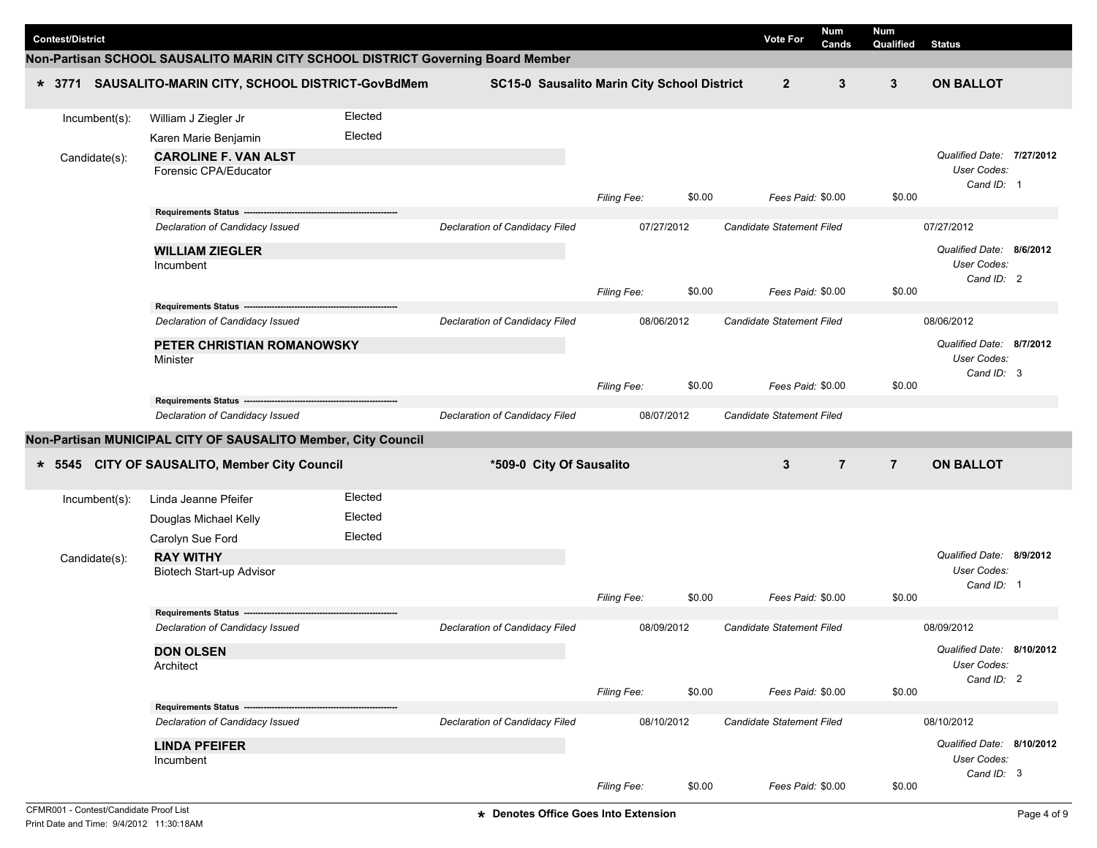|                         |               |                                                                                 |         |                                |                          |                                             |        |                                  | Num            | Num            |                           |  |
|-------------------------|---------------|---------------------------------------------------------------------------------|---------|--------------------------------|--------------------------|---------------------------------------------|--------|----------------------------------|----------------|----------------|---------------------------|--|
| <b>Contest/District</b> |               |                                                                                 |         |                                |                          |                                             |        | <b>Vote For</b>                  | Cands          | Qualified      | <b>Status</b>             |  |
|                         |               | Non-Partisan SCHOOL SAUSALITO MARIN CITY SCHOOL DISTRICT Governing Board Member |         |                                |                          |                                             |        |                                  |                |                |                           |  |
|                         |               | * 3771 SAUSALITO-MARIN CITY, SCHOOL DISTRICT-GovBdMem                           |         |                                |                          | SC15-0 Sausalito Marin City School District |        | $\overline{2}$                   | 3              | $\mathbf{3}$   | <b>ON BALLOT</b>          |  |
|                         | Incumbent(s): | William J Ziegler Jr                                                            | Elected |                                |                          |                                             |        |                                  |                |                |                           |  |
|                         |               | Karen Marie Benjamin                                                            | Elected |                                |                          |                                             |        |                                  |                |                |                           |  |
|                         | Candidate(s): | <b>CAROLINE F. VAN ALST</b>                                                     |         |                                |                          |                                             |        |                                  |                |                | Qualified Date: 7/27/2012 |  |
|                         |               | Forensic CPA/Educator                                                           |         |                                |                          |                                             |        |                                  |                |                | User Codes:               |  |
|                         |               |                                                                                 |         |                                |                          | Filing Fee:                                 | \$0.00 | Fees Paid: \$0.00                |                | \$0.00         | Cand ID: 1                |  |
|                         |               | Requirements Status ----                                                        |         |                                |                          |                                             |        |                                  |                |                |                           |  |
|                         |               | Declaration of Candidacy Issued                                                 |         | Declaration of Candidacy Filed |                          | 07/27/2012                                  |        | Candidate Statement Filed        |                |                | 07/27/2012                |  |
|                         |               | <b>WILLIAM ZIEGLER</b>                                                          |         |                                |                          |                                             |        |                                  |                |                | Qualified Date: 8/6/2012  |  |
|                         |               | Incumbent                                                                       |         |                                |                          |                                             |        |                                  |                |                | User Codes:               |  |
|                         |               |                                                                                 |         |                                |                          | <b>Filing Fee:</b>                          | \$0.00 | Fees Paid: \$0.00                |                | \$0.00         | Cand ID: 2                |  |
|                         |               | Requirements Status --------------                                              |         |                                |                          |                                             |        |                                  |                |                |                           |  |
|                         |               | Declaration of Candidacy Issued                                                 |         | Declaration of Candidacy Filed |                          | 08/06/2012                                  |        | Candidate Statement Filed        |                |                | 08/06/2012                |  |
|                         |               | PETER CHRISTIAN ROMANOWSKY                                                      |         |                                |                          |                                             |        |                                  |                |                | Qualified Date: 8/7/2012  |  |
|                         |               | Minister                                                                        |         |                                |                          |                                             |        |                                  |                |                | User Codes:               |  |
|                         |               |                                                                                 |         |                                |                          | Filing Fee:                                 | \$0.00 | Fees Paid: \$0.00                |                | \$0.00         | Cand ID: 3                |  |
|                         |               |                                                                                 |         |                                |                          |                                             |        |                                  |                |                |                           |  |
|                         |               | Declaration of Candidacy Issued                                                 |         | Declaration of Candidacy Filed |                          | 08/07/2012                                  |        | Candidate Statement Filed        |                |                |                           |  |
|                         |               | Non-Partisan MUNICIPAL CITY OF SAUSALITO Member, City Council                   |         |                                |                          |                                             |        |                                  |                |                |                           |  |
|                         |               | * 5545 CITY OF SAUSALITO, Member City Council                                   |         |                                | *509-0 City Of Sausalito |                                             |        | 3                                | $\overline{7}$ | $\overline{7}$ | <b>ON BALLOT</b>          |  |
|                         |               |                                                                                 |         |                                |                          |                                             |        |                                  |                |                |                           |  |
|                         | Incumbent(s): | Linda Jeanne Pfeifer                                                            | Elected |                                |                          |                                             |        |                                  |                |                |                           |  |
|                         |               | Douglas Michael Kelly                                                           | Elected |                                |                          |                                             |        |                                  |                |                |                           |  |
|                         |               | Carolyn Sue Ford                                                                | Elected |                                |                          |                                             |        |                                  |                |                |                           |  |
|                         | Candidate(s): | <b>RAY WITHY</b>                                                                |         |                                |                          |                                             |        |                                  |                |                | Qualified Date: 8/9/2012  |  |
|                         |               | Biotech Start-up Advisor                                                        |         |                                |                          |                                             |        |                                  |                |                | User Codes:<br>Cand ID: 1 |  |
|                         |               |                                                                                 |         |                                |                          | Filing Fee:                                 | \$0.00 | Fees Paid: \$0.00                |                | \$0.00         |                           |  |
|                         |               | Requirements Status ----                                                        |         |                                |                          |                                             |        |                                  |                |                |                           |  |
|                         |               | Declaration of Candidacy Issued                                                 |         | Declaration of Candidacy Filed |                          | 08/09/2012                                  |        | <b>Candidate Statement Filed</b> |                |                | 08/09/2012                |  |
|                         |               | <b>DON OLSEN</b>                                                                |         |                                |                          |                                             |        |                                  |                |                | Qualified Date: 8/10/2012 |  |
|                         |               | Architect                                                                       |         |                                |                          |                                             |        |                                  |                |                | User Codes:<br>Cand ID: 2 |  |
|                         |               |                                                                                 |         |                                |                          | Filing Fee:                                 | \$0.00 | Fees Paid: \$0.00                |                | \$0.00         |                           |  |
|                         |               | Requirements Status ----                                                        |         |                                |                          |                                             |        |                                  |                |                |                           |  |
|                         |               | Declaration of Candidacy Issued                                                 |         | Declaration of Candidacy Filed |                          | 08/10/2012                                  |        | Candidate Statement Filed        |                |                | 08/10/2012                |  |
|                         |               | <b>LINDA PFEIFER</b>                                                            |         |                                |                          |                                             |        |                                  |                |                | Qualified Date: 8/10/2012 |  |
|                         |               | Incumbent                                                                       |         |                                |                          |                                             |        |                                  |                |                | User Codes:               |  |
|                         |               |                                                                                 |         |                                |                          | Filing Fee:                                 | \$0.00 | Fees Paid: \$0.00                |                | \$0.00         | Cand ID: 3                |  |
|                         |               |                                                                                 |         |                                |                          |                                             |        |                                  |                |                |                           |  |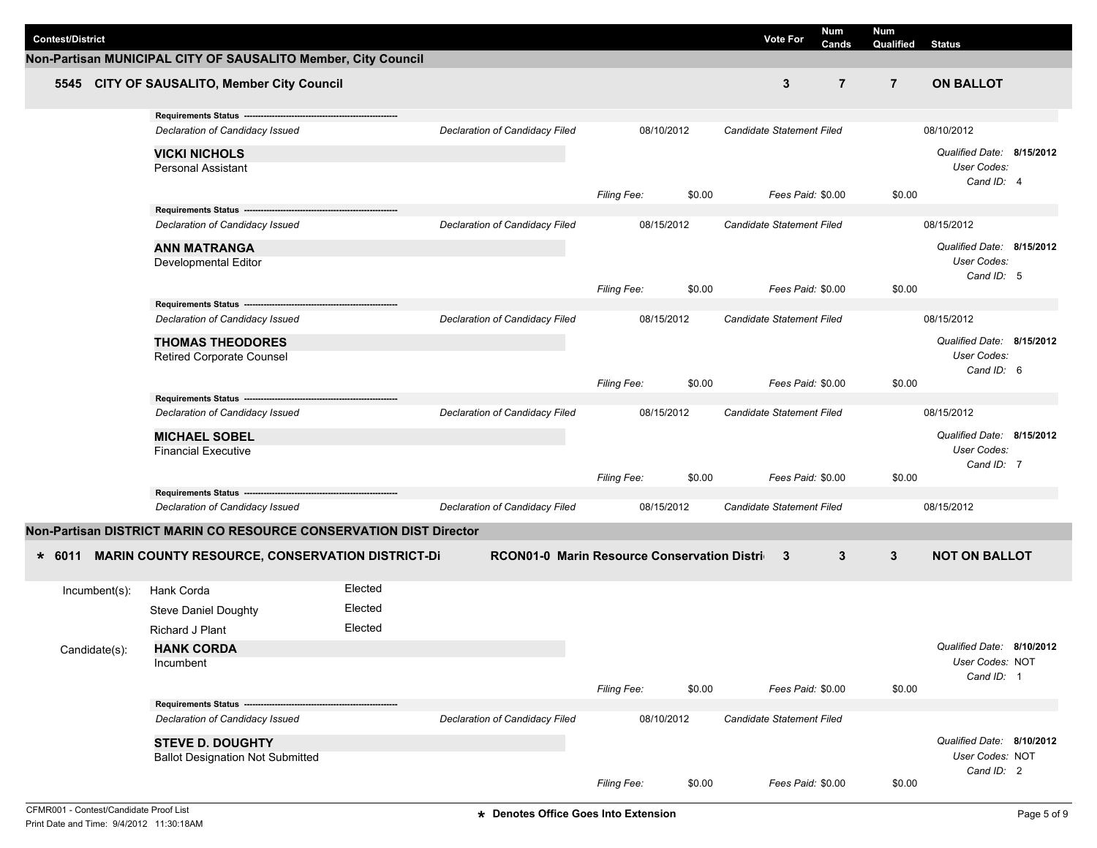| <b>Contest/District</b>         |                                                                    |         |                                               |                    |        | <b>Vote For</b>                  | <b>Num</b>     | <b>Num</b><br>Qualified |                                                        |  |
|---------------------------------|--------------------------------------------------------------------|---------|-----------------------------------------------|--------------------|--------|----------------------------------|----------------|-------------------------|--------------------------------------------------------|--|
|                                 | Non-Partisan MUNICIPAL CITY OF SAUSALITO Member, City Council      |         |                                               |                    |        |                                  | Cands          |                         | <b>Status</b>                                          |  |
|                                 | 5545 CITY OF SAUSALITO, Member City Council                        |         |                                               |                    |        | 3                                | $\overline{7}$ | $\overline{7}$          | <b>ON BALLOT</b>                                       |  |
|                                 | Requirements Status ---                                            |         |                                               |                    |        |                                  |                |                         |                                                        |  |
|                                 | Declaration of Candidacy Issued                                    |         | Declaration of Candidacy Filed                | 08/10/2012         |        | Candidate Statement Filed        |                |                         | 08/10/2012                                             |  |
|                                 | <b>VICKI NICHOLS</b><br>Personal Assistant                         |         |                                               | Filing Fee:        | \$0.00 | Fees Paid: \$0.00                | \$0.00         |                         | Qualified Date: 8/15/2012<br>User Codes:<br>Cand ID: 4 |  |
|                                 |                                                                    |         |                                               |                    |        |                                  |                |                         |                                                        |  |
|                                 | Declaration of Candidacy Issued                                    |         | Declaration of Candidacy Filed                | 08/15/2012         |        | <b>Candidate Statement Filed</b> |                |                         | 08/15/2012                                             |  |
|                                 | <b>ANN MATRANGA</b><br>Developmental Editor                        |         |                                               |                    |        |                                  |                |                         | Qualified Date: 8/15/2012<br>User Codes:               |  |
|                                 |                                                                    |         |                                               | <b>Filing Fee:</b> | \$0.00 | Fees Paid: \$0.00                |                | \$0.00                  | Cand ID: 5                                             |  |
|                                 | Requirements Status -------                                        |         |                                               |                    |        |                                  |                |                         |                                                        |  |
| Declaration of Candidacy Issued |                                                                    |         | Declaration of Candidacy Filed                | 08/15/2012         |        | Candidate Statement Filed        |                |                         | 08/15/2012                                             |  |
|                                 | <b>THOMAS THEODORES</b><br><b>Retired Corporate Counsel</b>        |         |                                               |                    |        |                                  |                |                         | Qualified Date: 8/15/2012<br>User Codes:<br>Cand ID: 6 |  |
|                                 |                                                                    |         |                                               | Filing Fee:        | \$0.00 | Fees Paid: \$0.00                |                | \$0.00                  |                                                        |  |
|                                 | Requirements Status --                                             |         |                                               |                    |        |                                  |                |                         |                                                        |  |
|                                 | Declaration of Candidacy Issued                                    |         | Declaration of Candidacy Filed                | 08/15/2012         |        | Candidate Statement Filed        |                |                         | 08/15/2012                                             |  |
|                                 | <b>MICHAEL SOBEL</b><br><b>Financial Executive</b>                 |         |                                               |                    |        |                                  |                |                         | Qualified Date: 8/15/2012<br>User Codes:<br>Cand ID: 7 |  |
|                                 |                                                                    |         |                                               | Filing Fee:        | \$0.00 | Fees Paid: \$0.00                |                | \$0.00                  |                                                        |  |
|                                 | Requirements Status -----------                                    |         |                                               |                    |        |                                  |                |                         |                                                        |  |
|                                 | Declaration of Candidacy Issued                                    |         | Declaration of Candidacy Filed                | 08/15/2012         |        | Candidate Statement Filed        |                |                         | 08/15/2012                                             |  |
|                                 | Non-Partisan DISTRICT MARIN CO RESOURCE CONSERVATION DIST Director |         |                                               |                    |        |                                  |                |                         |                                                        |  |
| $* 6011$                        | <b>MARIN COUNTY RESOURCE, CONSERVATION DISTRICT-DI</b>             |         | RCON01-0 Marin Resource Conservation District |                    |        | 3                                | 3              | $\mathbf{3}$            | <b>NOT ON BALLOT</b>                                   |  |
| Incumbent(s):                   | Hank Corda                                                         | Elected |                                               |                    |        |                                  |                |                         |                                                        |  |
|                                 | <b>Steve Daniel Doughty</b>                                        | Elected |                                               |                    |        |                                  |                |                         |                                                        |  |
|                                 | Richard J Plant                                                    | Elected |                                               |                    |        |                                  |                |                         |                                                        |  |
| Candidate(s):                   | <b>HANK CORDA</b>                                                  |         |                                               |                    |        |                                  |                |                         | Qualified Date: 8/10/2012                              |  |
|                                 | Incumbent                                                          |         |                                               |                    |        |                                  |                |                         | User Codes: NOT                                        |  |
|                                 |                                                                    |         |                                               | Filing Fee:        | \$0.00 | Fees Paid: \$0.00                |                | \$0.00                  | Cand ID: 1                                             |  |
|                                 | Requirements Status -----                                          |         |                                               |                    |        |                                  |                |                         |                                                        |  |
|                                 | Declaration of Candidacy Issued                                    |         | Declaration of Candidacy Filed                | 08/10/2012         |        | Candidate Statement Filed        |                |                         |                                                        |  |
|                                 | <b>STEVE D. DOUGHTY</b><br><b>Ballot Designation Not Submitted</b> |         |                                               |                    |        |                                  |                |                         | Qualified Date: 8/10/2012<br>User Codes: NOT           |  |
|                                 |                                                                    |         |                                               |                    |        |                                  |                |                         | Cand ID: 2                                             |  |
|                                 |                                                                    |         |                                               | Filing Fee:        | \$0.00 | Fees Paid: \$0.00                |                | \$0.00                  |                                                        |  |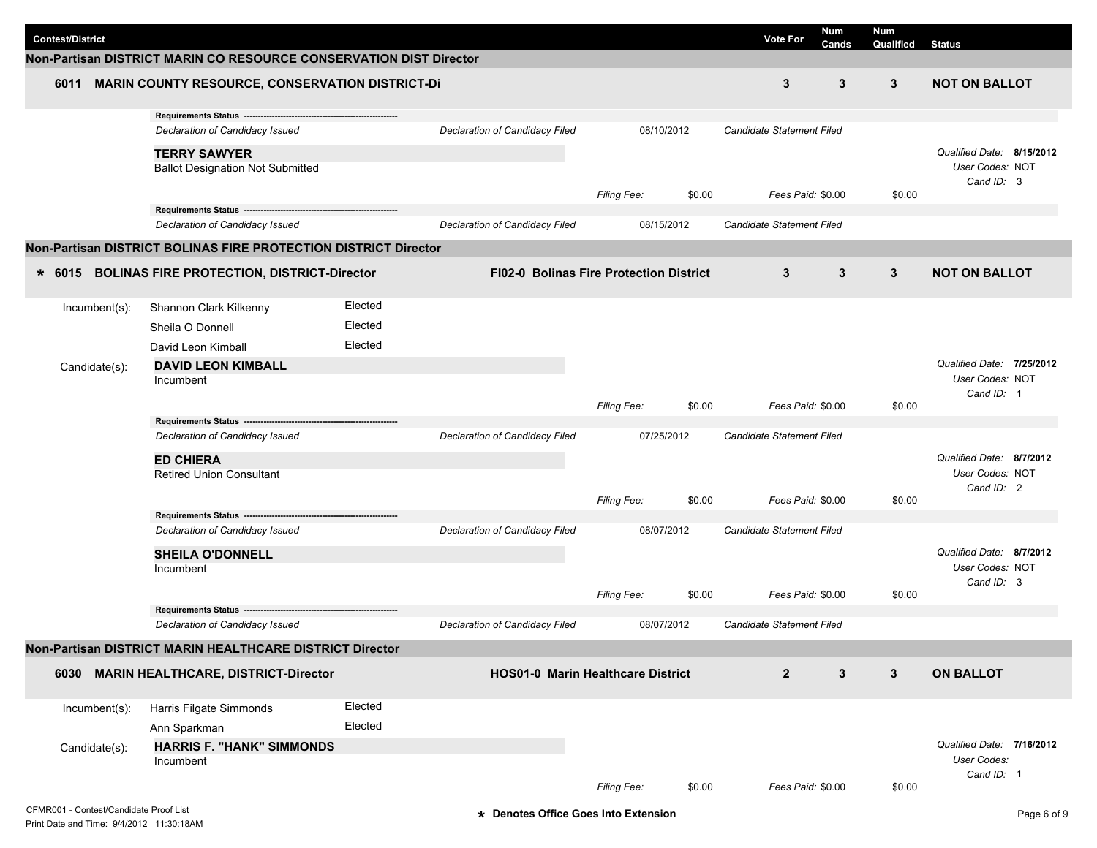| <b>Contest/District</b> | Non-Partisan DISTRICT MARIN CO RESOURCE CONSERVATION DIST Director  |         |                                          |                                                |        | Num<br>Vote For<br>Cands         | <b>Num</b><br>Qualified | <b>Status</b>                            |
|-------------------------|---------------------------------------------------------------------|---------|------------------------------------------|------------------------------------------------|--------|----------------------------------|-------------------------|------------------------------------------|
| 6011                    | <b>MARIN COUNTY RESOURCE, CONSERVATION DISTRICT-DI</b>              |         |                                          |                                                |        | 3<br>3                           | 3                       | <b>NOT ON BALLOT</b>                     |
|                         |                                                                     |         |                                          |                                                |        |                                  |                         |                                          |
|                         | Requirements Status -------<br>Declaration of Candidacy Issued      |         | Declaration of Candidacy Filed           | 08/10/2012                                     |        | <b>Candidate Statement Filed</b> |                         |                                          |
|                         | <b>TERRY SAWYER</b>                                                 |         |                                          |                                                |        |                                  |                         | Qualified Date: 8/15/2012                |
|                         | <b>Ballot Designation Not Submitted</b>                             |         |                                          |                                                |        |                                  |                         | User Codes: NOT<br>Cand ID: 3            |
|                         | Requirements Status -------------------------                       |         |                                          | <b>Filing Fee:</b>                             | \$0.00 | Fees Paid: \$0.00                | \$0.00                  |                                          |
|                         | Declaration of Candidacy Issued                                     |         | Declaration of Candidacy Filed           | 08/15/2012                                     |        | <b>Candidate Statement Filed</b> |                         |                                          |
|                         | Non-Partisan DISTRICT BOLINAS FIRE PROTECTION DISTRICT Director     |         |                                          |                                                |        |                                  |                         |                                          |
|                         | * 6015 BOLINAS FIRE PROTECTION, DISTRICT-Director                   |         |                                          | <b>FI02-0 Bolinas Fire Protection District</b> |        | 3<br>3                           | $\mathbf{3}$            | <b>NOT ON BALLOT</b>                     |
|                         |                                                                     | Elected |                                          |                                                |        |                                  |                         |                                          |
| Incumbent(s):           | Shannon Clark Kilkenny<br>Sheila O Donnell                          | Elected |                                          |                                                |        |                                  |                         |                                          |
|                         | David Leon Kimball                                                  | Elected |                                          |                                                |        |                                  |                         |                                          |
| Candidate(s):           | <b>DAVID LEON KIMBALL</b>                                           |         |                                          |                                                |        |                                  |                         | Qualified Date: 7/25/2012                |
|                         | Incumbent                                                           |         |                                          |                                                |        |                                  |                         | User Codes: NOT                          |
|                         |                                                                     |         |                                          | <b>Filing Fee:</b>                             | \$0.00 | Fees Paid: \$0.00                | \$0.00                  | Cand ID: 1                               |
|                         | Requirements Status -------                                         |         |                                          |                                                |        |                                  |                         |                                          |
|                         | Declaration of Candidacy Issued                                     |         | Declaration of Candidacy Filed           | 07/25/2012                                     |        | <b>Candidate Statement Filed</b> |                         |                                          |
|                         | <b>ED CHIERA</b>                                                    |         |                                          |                                                |        |                                  |                         | Qualified Date: 8/7/2012                 |
|                         | <b>Retired Union Consultant</b>                                     |         |                                          |                                                |        |                                  |                         | User Codes: NOT<br>Cand ID: 2            |
|                         |                                                                     |         |                                          | Filing Fee:                                    | \$0.00 | Fees Paid: \$0.00                | \$0.00                  |                                          |
|                         | Requirements Status ------------<br>Declaration of Candidacy Issued |         | Declaration of Candidacy Filed           | 08/07/2012                                     |        | Candidate Statement Filed        |                         |                                          |
|                         | <b>SHEILA O'DONNELL</b>                                             |         |                                          |                                                |        |                                  |                         | Qualified Date: 8/7/2012                 |
|                         | Incumbent                                                           |         |                                          |                                                |        |                                  |                         | User Codes: NOT                          |
|                         |                                                                     |         |                                          | Filing Fee:                                    | \$0.00 | Fees Paid: \$0.00                | \$0.00                  | Cand ID: 3                               |
|                         | Requirements Status ---                                             |         |                                          |                                                |        |                                  |                         |                                          |
|                         | Declaration of Candidacy Issued                                     |         | Declaration of Candidacy Filed           | 08/07/2012                                     |        | Candidate Statement Filed        |                         |                                          |
|                         | Non-Partisan DISTRICT MARIN HEALTHCARE DISTRICT Director            |         |                                          |                                                |        |                                  |                         |                                          |
| 6030                    | <b>MARIN HEALTHCARE, DISTRICT-Director</b>                          |         | <b>HOS01-0 Marin Healthcare District</b> |                                                |        | $\overline{2}$<br>$\mathbf{3}$   | $3\phantom{.0}$         | <b>ON BALLOT</b>                         |
| Incumbent(s):           | Harris Filgate Simmonds                                             | Elected |                                          |                                                |        |                                  |                         |                                          |
|                         | Ann Sparkman                                                        | Elected |                                          |                                                |        |                                  |                         |                                          |
| Candidate(s):           | <b>HARRIS F. "HANK" SIMMONDS</b><br>Incumbent                       |         |                                          |                                                |        |                                  |                         | Qualified Date: 7/16/2012<br>User Codes: |
|                         |                                                                     |         |                                          | Filing Fee:                                    | \$0.00 | Fees Paid: \$0.00                | \$0.00                  | Cand ID: 1                               |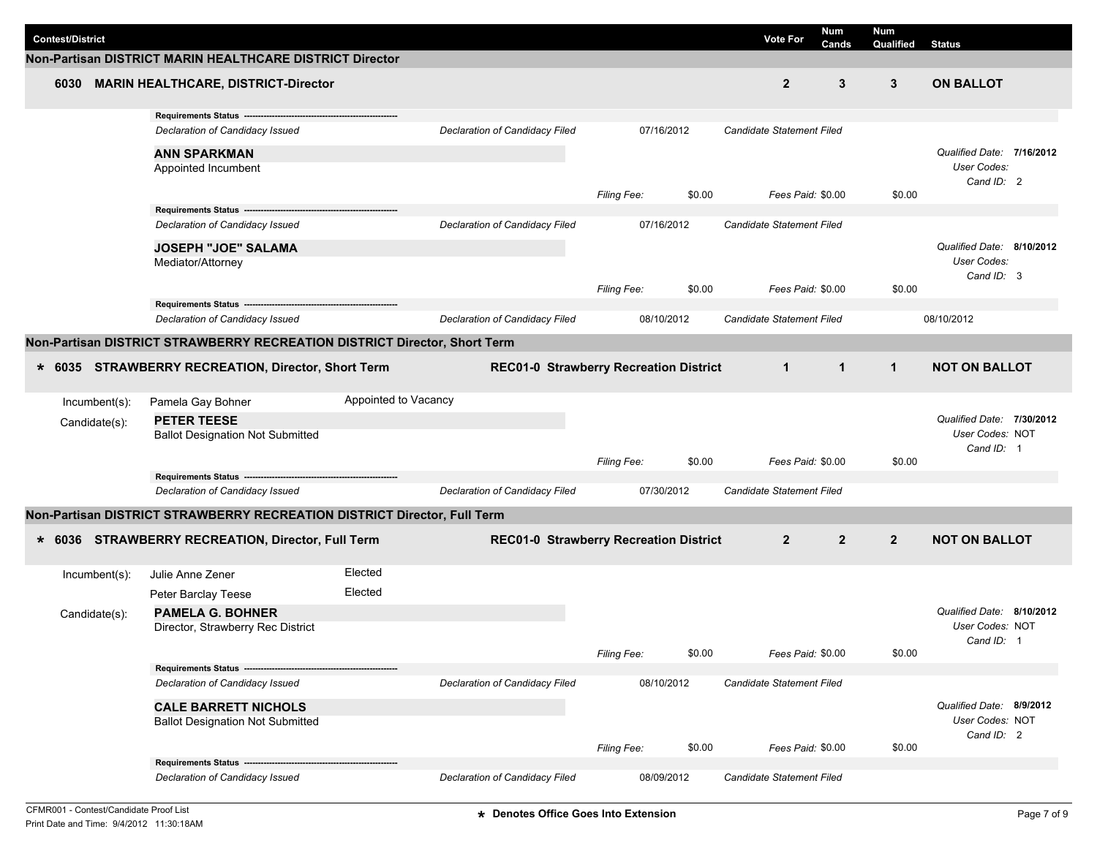|                         |                                                                           |                      |                                               |                    |            |                                  | Num               | <b>Num</b>     |                                              |  |
|-------------------------|---------------------------------------------------------------------------|----------------------|-----------------------------------------------|--------------------|------------|----------------------------------|-------------------|----------------|----------------------------------------------|--|
| <b>Contest/District</b> |                                                                           |                      |                                               |                    |            | <b>Vote For</b>                  | Cands             | Qualified      | <b>Status</b>                                |  |
|                         | Non-Partisan DISTRICT MARIN HEALTHCARE DISTRICT Director                  |                      |                                               |                    |            |                                  |                   |                |                                              |  |
| 6030                    | <b>MARIN HEALTHCARE, DISTRICT-Director</b>                                |                      |                                               |                    |            | $\overline{2}$                   | 3                 | 3              | <b>ON BALLOT</b>                             |  |
|                         | Requirements Status ----                                                  |                      |                                               |                    |            |                                  |                   |                |                                              |  |
|                         | Declaration of Candidacy Issued                                           |                      | Declaration of Candidacy Filed                |                    | 07/16/2012 | <b>Candidate Statement Filed</b> |                   |                |                                              |  |
|                         | <b>ANN SPARKMAN</b>                                                       |                      |                                               |                    |            |                                  |                   |                | Qualified Date: 7/16/2012                    |  |
|                         | Appointed Incumbent                                                       |                      |                                               |                    |            |                                  |                   |                | User Codes:                                  |  |
|                         |                                                                           |                      |                                               | <b>Filing Fee:</b> | \$0.00     |                                  | Fees Paid: \$0.00 | \$0.00         | Cand ID: 2                                   |  |
|                         | Requirements Status ----                                                  |                      |                                               |                    |            |                                  |                   |                |                                              |  |
|                         | Declaration of Candidacy Issued                                           |                      | Declaration of Candidacy Filed                |                    | 07/16/2012 | <b>Candidate Statement Filed</b> |                   |                |                                              |  |
|                         | <b>JOSEPH "JOE" SALAMA</b>                                                |                      |                                               |                    |            |                                  |                   |                | Qualified Date: 8/10/2012                    |  |
|                         | Mediator/Attorney                                                         |                      |                                               |                    |            |                                  |                   |                | User Codes:                                  |  |
|                         |                                                                           |                      |                                               |                    | \$0.00     |                                  | Fees Paid: \$0.00 | \$0.00         | Cand ID: 3                                   |  |
|                         | Requirements Status ---                                                   |                      |                                               | <b>Filing Fee:</b> |            |                                  |                   |                |                                              |  |
|                         | Declaration of Candidacy Issued                                           |                      | Declaration of Candidacy Filed                |                    | 08/10/2012 | Candidate Statement Filed        |                   |                | 08/10/2012                                   |  |
|                         | Non-Partisan DISTRICT STRAWBERRY RECREATION DISTRICT Director, Short Term |                      |                                               |                    |            |                                  |                   |                |                                              |  |
|                         |                                                                           |                      |                                               |                    |            |                                  |                   |                |                                              |  |
|                         | * 6035 STRAWBERRY RECREATION, Director, Short Term                        |                      | <b>REC01-0 Strawberry Recreation District</b> |                    |            | $\mathbf{1}$                     | $\overline{1}$    | $\mathbf{1}$   | <b>NOT ON BALLOT</b>                         |  |
| Incumbent(s):           | Pamela Gay Bohner                                                         | Appointed to Vacancy |                                               |                    |            |                                  |                   |                |                                              |  |
|                         | <b>PETER TEESE</b>                                                        |                      |                                               |                    |            |                                  |                   |                | Qualified Date: 7/30/2012                    |  |
| Candidate(s):           | <b>Ballot Designation Not Submitted</b>                                   |                      |                                               |                    |            |                                  |                   |                | User Codes: NOT                              |  |
|                         |                                                                           |                      |                                               |                    |            |                                  |                   |                | Cand ID: 1                                   |  |
|                         | Requirements Status ----------------------------                          |                      |                                               | <b>Filing Fee:</b> | \$0.00     |                                  | Fees Paid: \$0.00 | \$0.00         |                                              |  |
|                         | Declaration of Candidacy Issued                                           |                      | Declaration of Candidacy Filed                |                    | 07/30/2012 | Candidate Statement Filed        |                   |                |                                              |  |
|                         |                                                                           |                      |                                               |                    |            |                                  |                   |                |                                              |  |
|                         | Non-Partisan DISTRICT STRAWBERRY RECREATION DISTRICT Director, Full Term  |                      |                                               |                    |            |                                  |                   |                |                                              |  |
|                         | * 6036 STRAWBERRY RECREATION, Director, Full Term                         |                      | <b>REC01-0 Strawberry Recreation District</b> |                    |            | $\overline{2}$                   | $\overline{2}$    | $\overline{2}$ | <b>NOT ON BALLOT</b>                         |  |
|                         |                                                                           |                      |                                               |                    |            |                                  |                   |                |                                              |  |
| Incumbent(s):           | Julie Anne Zener                                                          | Elected              |                                               |                    |            |                                  |                   |                |                                              |  |
|                         | Peter Barclay Teese                                                       | Elected              |                                               |                    |            |                                  |                   |                |                                              |  |
| Candidate(s):           | <b>PAMELA G. BOHNER</b>                                                   |                      |                                               |                    |            |                                  |                   |                | Qualified Date: 8/10/2012<br>User Codes: NOT |  |
|                         | Director, Strawberry Rec District                                         |                      |                                               |                    |            |                                  |                   |                | Cand ID: 1                                   |  |
|                         |                                                                           |                      |                                               | Filing Fee:        | \$0.00     |                                  | Fees Paid: \$0.00 | \$0.00         |                                              |  |
|                         | Requirements Status -----------                                           |                      |                                               |                    |            |                                  |                   |                |                                              |  |
|                         | Declaration of Candidacy Issued                                           |                      | Declaration of Candidacy Filed                |                    | 08/10/2012 | Candidate Statement Filed        |                   |                |                                              |  |
|                         | <b>CALE BARRETT NICHOLS</b>                                               |                      |                                               |                    |            |                                  |                   |                | Qualified Date: 8/9/2012                     |  |
|                         | <b>Ballot Designation Not Submitted</b>                                   |                      |                                               |                    |            |                                  |                   |                | User Codes: NOT<br>Cand ID: 2                |  |
|                         |                                                                           |                      |                                               | Filing Fee:        | \$0.00     |                                  | Fees Paid: \$0.00 | \$0.00         |                                              |  |
|                         | Requirements Status ---------------------                                 |                      |                                               |                    |            |                                  |                   |                |                                              |  |
|                         | Declaration of Candidacy Issued                                           |                      | Declaration of Candidacy Filed                |                    | 08/09/2012 | Candidate Statement Filed        |                   |                |                                              |  |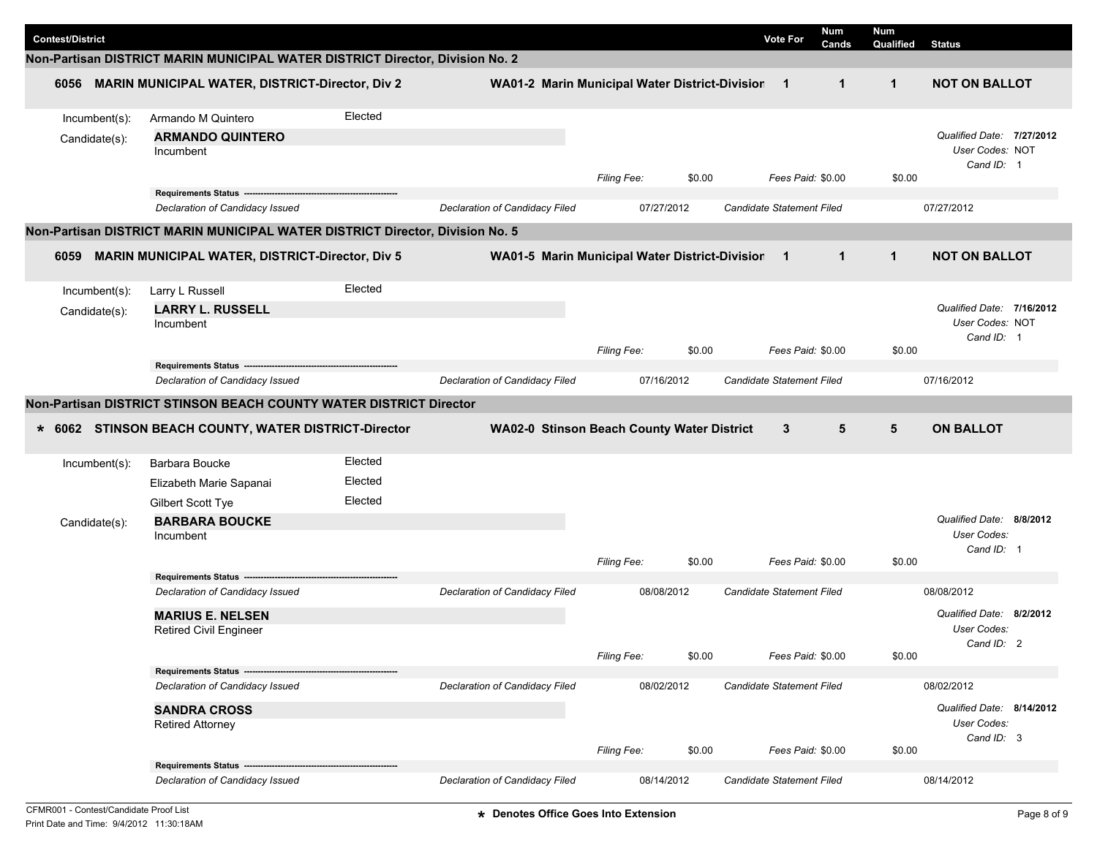| <b>Contest/District</b> |                                                                               |         |                                                  |                    |        | <b>Vote For</b>           | <b>Num</b><br>Cands | Num<br>Qualified | <b>Status</b>                                              |
|-------------------------|-------------------------------------------------------------------------------|---------|--------------------------------------------------|--------------------|--------|---------------------------|---------------------|------------------|------------------------------------------------------------|
|                         | Non-Partisan DISTRICT MARIN MUNICIPAL WATER DISTRICT Director, Division No. 2 |         |                                                  |                    |        |                           |                     |                  |                                                            |
| 6056                    | <b>MARIN MUNICIPAL WATER, DISTRICT-Director, Div 2</b>                        |         | WA01-2 Marin Municipal Water District-Division 1 |                    |        |                           | $\mathbf{1}$        | $\mathbf{1}$     | <b>NOT ON BALLOT</b>                                       |
| Incumbent(s):           | Armando M Quintero                                                            | Elected |                                                  |                    |        |                           |                     |                  |                                                            |
| Candidate(s):           | <b>ARMANDO QUINTERO</b><br>Incumbent                                          |         |                                                  | <b>Filing Fee:</b> | \$0.00 |                           | Fees Paid: \$0.00   | \$0.00           | Qualified Date: 7/27/2012<br>User Codes: NOT<br>Cand ID: 1 |
|                         | Requirements Status --------                                                  |         |                                                  |                    |        |                           |                     |                  |                                                            |
|                         | Declaration of Candidacy Issued                                               |         | Declaration of Candidacy Filed                   | 07/27/2012         |        | Candidate Statement Filed |                     |                  | 07/27/2012                                                 |
|                         | Non-Partisan DISTRICT MARIN MUNICIPAL WATER DISTRICT Director, Division No. 5 |         |                                                  |                    |        |                           |                     |                  |                                                            |
| 6059                    | <b>MARIN MUNICIPAL WATER, DISTRICT-Director, Div 5</b>                        |         | WA01-5 Marin Municipal Water District-Division   |                    |        | $\blacksquare$            | $\mathbf{1}$        | $\mathbf{1}$     | <b>NOT ON BALLOT</b>                                       |
| Incumbent(s):           | Larry L Russell                                                               | Elected |                                                  |                    |        |                           |                     |                  |                                                            |
| Candidate(s):           | <b>LARRY L. RUSSELL</b><br>Incumbent                                          |         |                                                  |                    |        |                           |                     |                  | Qualified Date: 7/16/2012<br>User Codes: NOT<br>Cand ID: 1 |
|                         |                                                                               |         |                                                  | Filing Fee:        | \$0.00 |                           | Fees Paid: \$0.00   | \$0.00           |                                                            |
|                         | Requirements Status -                                                         |         |                                                  |                    |        |                           |                     |                  |                                                            |
|                         | Declaration of Candidacy Issued                                               |         | Declaration of Candidacy Filed                   | 07/16/2012         |        | Candidate Statement Filed |                     |                  | 07/16/2012                                                 |
|                         | Non-Partisan DISTRICT STINSON BEACH COUNTY WATER DISTRICT Director            |         |                                                  |                    |        |                           |                     |                  |                                                            |
|                         | * 6062 STINSON BEACH COUNTY, WATER DISTRICT-Director                          |         | WA02-0 Stinson Beach County Water District       |                    |        | 3                         | 5                   | 5                | <b>ON BALLOT</b>                                           |
| Incumbent(s):           | Barbara Boucke                                                                | Elected |                                                  |                    |        |                           |                     |                  |                                                            |
|                         | Elizabeth Marie Sapanai                                                       | Elected |                                                  |                    |        |                           |                     |                  |                                                            |
|                         | Gilbert Scott Tye                                                             | Elected |                                                  |                    |        |                           |                     |                  |                                                            |
| Candidate(s):           | <b>BARBARA BOUCKE</b>                                                         |         |                                                  |                    |        |                           |                     |                  | Qualified Date: 8/8/2012                                   |
|                         | Incumbent                                                                     |         |                                                  |                    |        |                           |                     |                  | <b>User Codes:</b>                                         |
|                         |                                                                               |         |                                                  | <b>Filing Fee:</b> | \$0.00 |                           | Fees Paid: \$0.00   | \$0.00           | Cand ID: 1                                                 |
|                         | Requirements Status --                                                        |         |                                                  |                    |        |                           |                     |                  |                                                            |
|                         | Declaration of Candidacy Issued                                               |         | Declaration of Candidacy Filed                   | 08/08/2012         |        | Candidate Statement Filed |                     |                  | 08/08/2012                                                 |
|                         | <b>MARIUS E. NELSEN</b>                                                       |         |                                                  |                    |        |                           |                     |                  | 8/2/2012<br>Qualified Date:                                |
|                         | <b>Retired Civil Engineer</b>                                                 |         |                                                  |                    |        |                           |                     |                  | <b>User Codes:</b>                                         |
|                         |                                                                               |         |                                                  | Filing Fee:        | \$0.00 |                           | Fees Paid: \$0.00   | \$0.00           | Cand ID: 2                                                 |
|                         | Requirements Status ---                                                       |         |                                                  |                    |        |                           |                     |                  |                                                            |
|                         | Declaration of Candidacy Issued                                               |         | Declaration of Candidacy Filed                   | 08/02/2012         |        | Candidate Statement Filed |                     |                  | 08/02/2012                                                 |
|                         | <b>SANDRA CROSS</b>                                                           |         |                                                  |                    |        |                           |                     |                  | Qualified Date: 8/14/2012                                  |
|                         | <b>Retired Attorney</b>                                                       |         |                                                  |                    |        |                           |                     |                  | User Codes:                                                |
|                         |                                                                               |         |                                                  | Filing Fee:        | \$0.00 |                           | Fees Paid: \$0.00   | \$0.00           | Cand ID: 3                                                 |
|                         | Requirements Status ----                                                      |         |                                                  |                    |        |                           |                     |                  |                                                            |
|                         | Declaration of Candidacy Issued                                               |         | Declaration of Candidacy Filed                   | 08/14/2012         |        | Candidate Statement Filed |                     |                  | 08/14/2012                                                 |